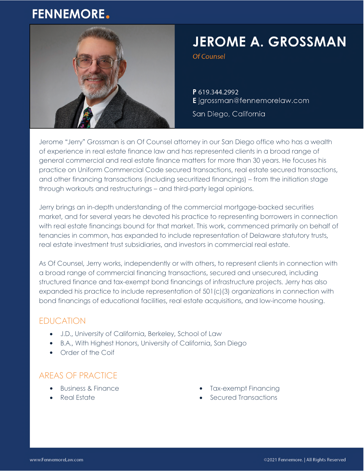# **FENNEMORE.**



# **JEROME A. GROSSMAN**

Of Counsel

P 619.344.2992 E jgrossman@fennemorelaw.com

San Diego, California

Jerome "Jerry" Grossman is an Of Counsel attorney in our San Diego office who has a wealth of experience in real estate finance law and has represented clients in a broad range of general commercial and real estate finance matters for more than 30 years. He focuses his practice on Uniform Commercial Code secured transactions, real estate secured transactions, and other financing transactions (including securitized financings) – from the initiation stage through workouts and restructurings – and third-party legal opinions.

Jerry brings an in-depth understanding of the commercial mortgage-backed securities market, and for several years he devoted his practice to representing borrowers in connection with real estate financings bound for that market. This work, commenced primarily on behalf of tenancies in common, has expanded to include representation of Delaware statutory trusts, real estate investment trust subsidiaries, and investors in commercial real estate.

As Of Counsel, Jerry works, independently or with others, to represent clients in connection with a broad range of commercial financing transactions, secured and unsecured, including structured finance and tax-exempt bond financings of infrastructure projects. Jerry has also expanded his practice to include representation of 501(c)(3) organizations in connection with bond financings of educational facilities, real estate acquisitions, and low-income housing.

## EDUCATION

- J.D., University of California, Berkeley, School of Law
- B.A., With Highest Honors, University of California, San Diego
- Order of the Coif

# AREAS OF PRACTICE

- Business & Finance
- Real Estate
- Tax-exempt Financing
- Secured Transactions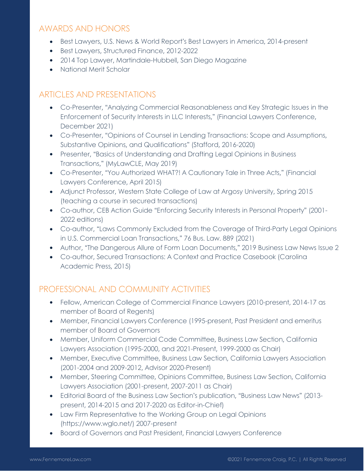#### AWARDS AND HONORS

- Best Lawyers, U.S. News & World Report's Best Lawyers in America, 2014-present
- Best Lawyers, Structured Finance, 2012-2022
- 2014 Top Lawyer, Martindale-Hubbell, San Diego Magazine
- National Merit Scholar

#### ARTICLES AND PRESENTATIONS

- Co-Presenter, "Analyzing Commercial Reasonableness and Key Strategic Issues in the Enforcement of Security Interests in LLC Interests," (Financial Lawyers Conference, December 2021)
- Co-Presenter, "Opinions of Counsel in Lending Transactions: Scope and Assumptions, Substantive Opinions, and Qualifications" (Stafford, 2016-2020)
- Presenter, "Basics of Understanding and Drafting Legal Opinions in Business Transactions," (MyLawCLE, May 2019)
- Co-Presenter, "You Authorized WHAT?! A Cautionary Tale in Three Acts," (Financial Lawyers Conference, April 2015)
- Adjunct Professor, Western State College of Law at Argosy University, Spring 2015 (teaching a course in secured transactions)
- Co-author, CEB Action Guide "Enforcing Security Interests in Personal Property" (2001- 2022 editions)
- Co-author, "Laws Commonly Excluded from the Coverage of Third-Party Legal Opinions in U.S. Commercial Loan Transactions," 76 Bus. Law. 889 (2021)
- Author, "The Dangerous Allure of Form Loan Documents," 2019 Business Law News Issue 2
- Co-author, Secured Transactions: A Context and Practice Casebook (Carolina Academic Press, 2015)

## PROFESSIONAL AND COMMUNITY ACTIVITIES

- Fellow, American College of Commercial Finance Lawyers (2010-present, 2014-17 as member of Board of Regents)
- Member, Financial Lawyers Conference (1995-present, Past President and emeritus member of Board of Governors
- Member, Uniform Commercial Code Committee, Business Law Section, California Lawyers Association (1995-2000, and 2021-Present, 1999-2000 as Chair)
- Member, Executive Committee, Business Law Section, California Lawyers Association (2001-2004 and 2009-2012, Advisor 2020-Present)
- Member, Steering Committee, Opinions Committee, Business Law Section, California Lawyers Association (2001-present, 2007-2011 as Chair)
- Editorial Board of the Business Law Section's publication, "Business Law News" (2013 present, 2014-2015 and 2017-2020 as Editor-in-Chief)
- Law Firm Representative to the Working Group on Legal Opinions (https://www.wglo.net/) 2007-present
- Board of Governors and Past President, Financial Lawyers Conference